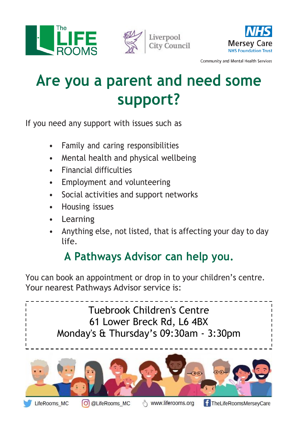





Community and Mental Health Services

## **Are you a parent and need some support?**

If you need any support with issues such as

- Family and caring responsibilities
- Mental health and physical wellbeing
- Financial difficulties
- Employment and volunteering
- Social activities and support networks
- Housing issues
- Learning
- Anything else, not listed, that is affecting your day to day life.

## **A Pathways Advisor can help you.**

You can book an appointment or drop in to your children's centre. Your nearest Pathways Advisor service is: